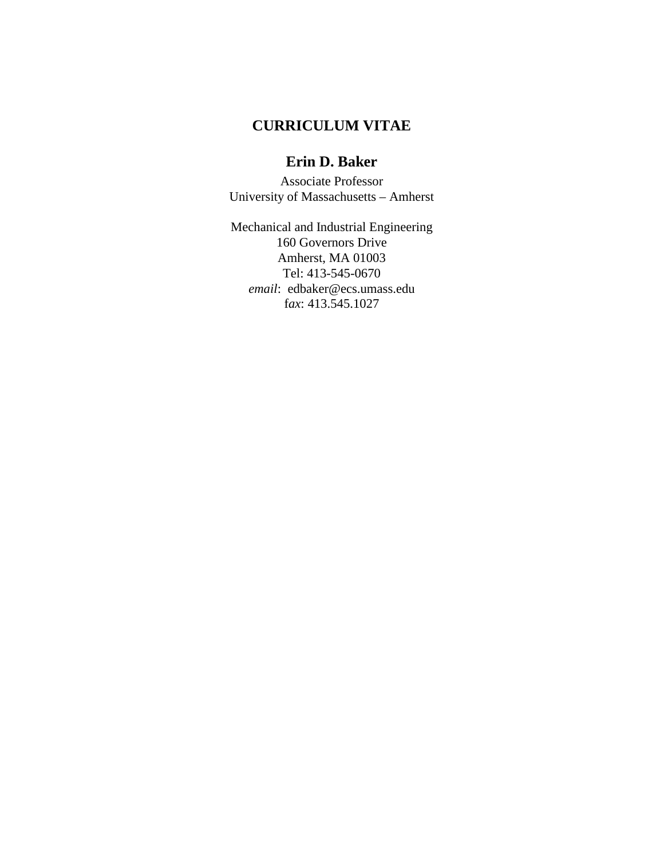# **CURRICULUM VITAE**

# **Erin D. Baker**

Associate Professor University of Massachusetts – Amherst

Mechanical and Industrial Engineering 160 Governors Drive Amherst, MA 01003 Tel: 413-545-0670 *email*: edbaker@ecs.umass.edu f*ax*: 413.545.1027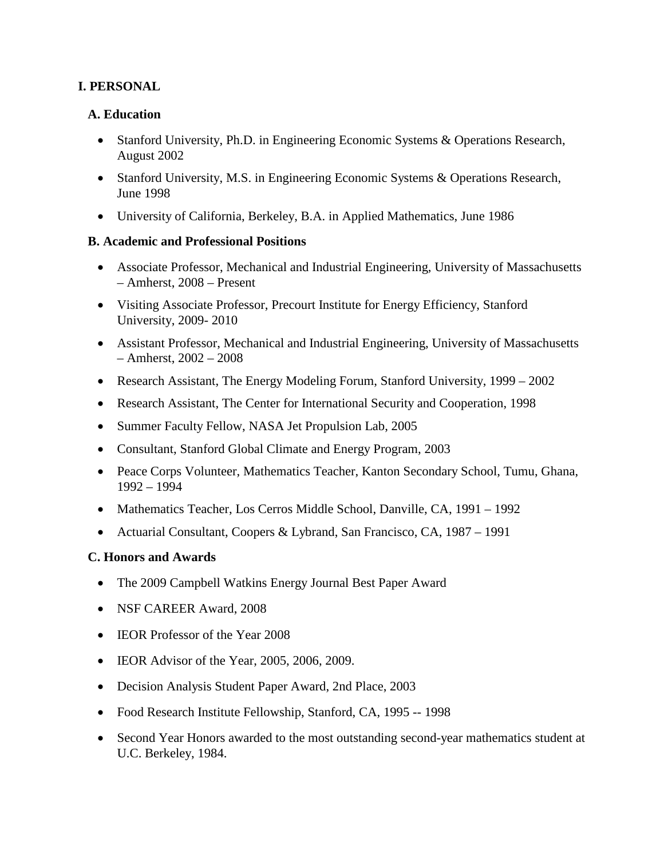## **I. PERSONAL**

#### **A. Education**

- Stanford University, Ph.D. in Engineering Economic Systems & Operations Research, August 2002
- Stanford University, M.S. in Engineering Economic Systems & Operations Research, June 1998
- University of California, Berkeley, B.A. in Applied Mathematics, June 1986

#### **B. Academic and Professional Positions**

- Associate Professor, Mechanical and Industrial Engineering, University of Massachusetts – Amherst, 2008 – Present
- Visiting Associate Professor, Precourt Institute for Energy Efficiency, Stanford University, 2009- 2010
- Assistant Professor, Mechanical and Industrial Engineering, University of Massachusetts – Amherst, 2002 – 2008
- Research Assistant, The Energy Modeling Forum, Stanford University, 1999 2002
- Research Assistant, The Center for International Security and Cooperation, 1998
- Summer Faculty Fellow, NASA Jet Propulsion Lab, 2005
- Consultant, Stanford Global Climate and Energy Program, 2003
- Peace Corps Volunteer, Mathematics Teacher, Kanton Secondary School, Tumu, Ghana, 1992 – 1994
- Mathematics Teacher, Los Cerros Middle School, Danville, CA, 1991 1992
- Actuarial Consultant, Coopers & Lybrand, San Francisco, CA, 1987 1991

## **C. Honors and Awards**

- The 2009 Campbell Watkins Energy Journal Best Paper Award
- NSF CAREER Award, 2008
- **IEOR** Professor of the Year 2008
- IEOR Advisor of the Year, 2005, 2006, 2009.
- Decision Analysis Student Paper Award, 2nd Place, 2003
- Food Research Institute Fellowship, Stanford, CA, 1995 -- 1998
- Second Year Honors awarded to the most outstanding second-year mathematics student at U.C. Berkeley, 1984.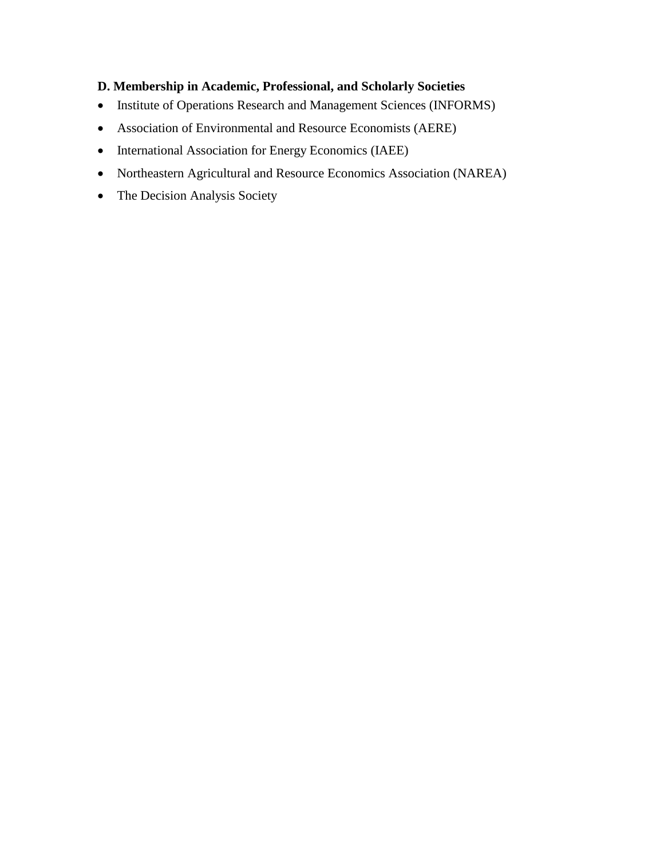# **D. Membership in Academic, Professional, and Scholarly Societies**

- Institute of Operations Research and Management Sciences (INFORMS)
- Association of Environmental and Resource Economists (AERE)
- International Association for Energy Economics (IAEE)
- Northeastern Agricultural and Resource Economics Association (NAREA)
- The Decision Analysis Society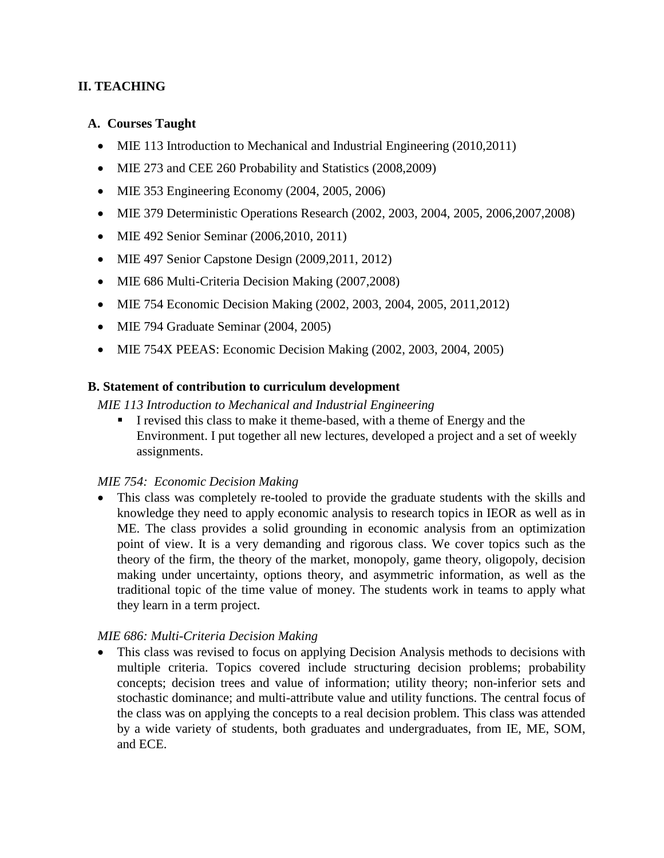## **II. TEACHING**

#### **A. Courses Taught**

- MIE 113 Introduction to Mechanical and Industrial Engineering (2010,2011)
- MIE 273 and CEE 260 Probability and Statistics (2008,2009)
- MIE 353 Engineering Economy (2004, 2005, 2006)
- MIE 379 Deterministic Operations Research (2002, 2003, 2004, 2005, 2006, 2007, 2008)
- MIE 492 Senior Seminar (2006, 2010, 2011)
- MIE 497 Senior Capstone Design (2009, 2011, 2012)
- MIE 686 Multi-Criteria Decision Making (2007,2008)
- MIE 754 Economic Decision Making (2002, 2003, 2004, 2005, 2011, 2012)
- MIE 794 Graduate Seminar (2004, 2005)
- MIE 754X PEEAS: Economic Decision Making (2002, 2003, 2004, 2005)

#### **B. Statement of contribution to curriculum development**

*MIE 113 Introduction to Mechanical and Industrial Engineering*

I revised this class to make it theme-based, with a theme of Energy and the Environment. I put together all new lectures, developed a project and a set of weekly assignments.

## *MIE 754: Economic Decision Making*

• This class was completely re-tooled to provide the graduate students with the skills and knowledge they need to apply economic analysis to research topics in IEOR as well as in ME. The class provides a solid grounding in economic analysis from an optimization point of view. It is a very demanding and rigorous class. We cover topics such as the theory of the firm, the theory of the market, monopoly, game theory, oligopoly, decision making under uncertainty, options theory, and asymmetric information, as well as the traditional topic of the time value of money. The students work in teams to apply what they learn in a term project.

## *MIE 686: Multi-Criteria Decision Making*

• This class was revised to focus on applying Decision Analysis methods to decisions with multiple criteria. Topics covered include structuring decision problems; probability concepts; decision trees and value of information; utility theory; non-inferior sets and stochastic dominance; and multi-attribute value and utility functions. The central focus of the class was on applying the concepts to a real decision problem. This class was attended by a wide variety of students, both graduates and undergraduates, from IE, ME, SOM, and ECE.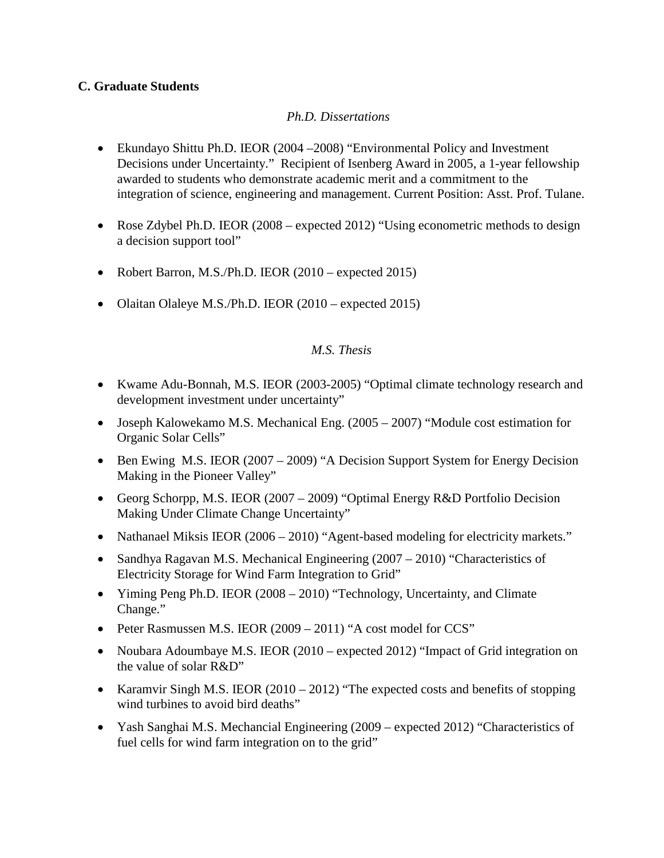## **C. Graduate Students**

## *Ph.D. Dissertations*

- Ekundayo Shittu Ph.D. IEOR (2004 –2008) "Environmental Policy and Investment Decisions under Uncertainty." Recipient of Isenberg Award in 2005, a 1-year fellowship awarded to students who demonstrate academic merit and a commitment to the integration of science, engineering and management. Current Position: Asst. Prof. Tulane.
- Rose Zdybel Ph.D. IEOR (2008 expected 2012) "Using econometric methods to design a decision support tool"
- Robert Barron, M.S./Ph.D. IEOR (2010 expected 2015)
- Olaitan Olaleye M.S./Ph.D. IEOR (2010 expected 2015)

#### *M.S. Thesis*

- Kwame Adu-Bonnah, M.S. IEOR (2003-2005) "Optimal climate technology research and development investment under uncertainty"
- Joseph Kalowekamo M.S. Mechanical Eng. (2005 2007) "Module cost estimation for Organic Solar Cells"
- Ben Ewing M.S. IEOR (2007 2009) "A Decision Support System for Energy Decision Making in the Pioneer Valley"
- Georg Schorpp, M.S. IEOR (2007 2009) "Optimal Energy R&D Portfolio Decision Making Under Climate Change Uncertainty"
- Nathanael Miksis IEOR (2006 2010) "Agent-based modeling for electricity markets."
- Sandhya Ragavan M.S. Mechanical Engineering (2007 2010) "Characteristics of Electricity Storage for Wind Farm Integration to Grid"
- Yiming Peng Ph.D. IEOR (2008 2010) "Technology, Uncertainty, and Climate Change."
- Peter Rasmussen M.S. IEOR (2009 2011) "A cost model for CCS"
- Noubara Adoumbaye M.S. IEOR (2010 expected 2012) "Impact of Grid integration on the value of solar R&D"
- Karamvir Singh M.S. IEOR  $(2010 2012)$  "The expected costs and benefits of stopping wind turbines to avoid bird deaths"
- Yash Sanghai M.S. Mechancial Engineering (2009 expected 2012) "Characteristics of fuel cells for wind farm integration on to the grid"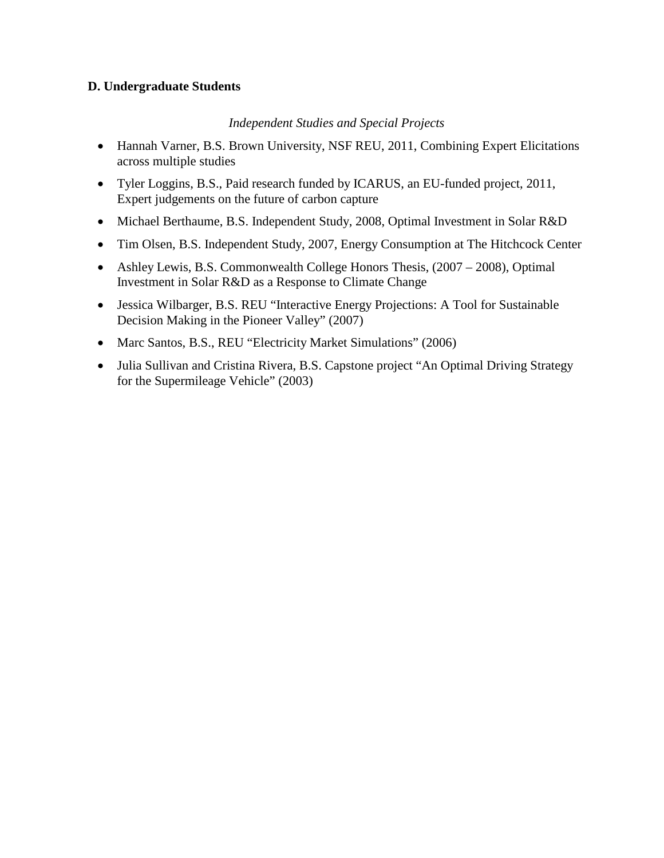## **D. Undergraduate Students**

#### *Independent Studies and Special Projects*

- Hannah Varner, B.S. Brown University, NSF REU, 2011, Combining Expert Elicitations across multiple studies
- Tyler Loggins, B.S., Paid research funded by ICARUS, an EU-funded project, 2011, Expert judgements on the future of carbon capture
- Michael Berthaume, B.S. Independent Study, 2008, Optimal Investment in Solar R&D
- Tim Olsen, B.S. Independent Study, 2007, Energy Consumption at The Hitchcock Center
- Ashley Lewis, B.S. Commonwealth College Honors Thesis, (2007 2008), Optimal Investment in Solar R&D as a Response to Climate Change
- Jessica Wilbarger, B.S. REU "Interactive Energy Projections: A Tool for Sustainable Decision Making in the Pioneer Valley" (2007)
- Marc Santos, B.S., REU "Electricity Market Simulations" (2006)
- Julia Sullivan and Cristina Rivera, B.S. Capstone project "An Optimal Driving Strategy for the Supermileage Vehicle" (2003)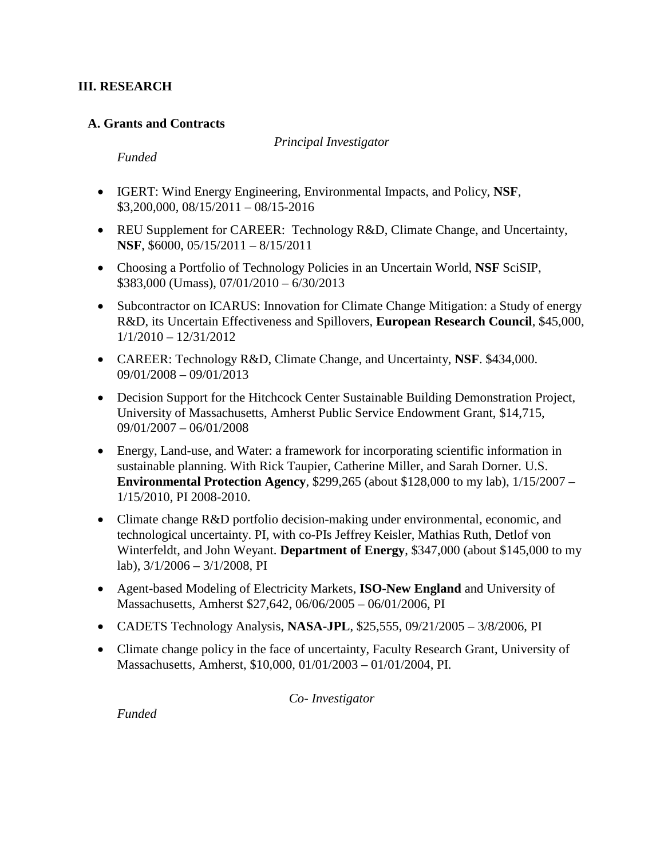#### **III. RESEARCH**

#### **A. Grants and Contracts**

*Principal Investigator*

*Funded*

- IGERT: Wind Energy Engineering, Environmental Impacts, and Policy, **NSF**, \$3,200,000, 08/15/2011 – 08/15-2016
- REU Supplement for CAREER: Technology R&D, Climate Change, and Uncertainty, **NSF**, \$6000, 05/15/2011 – 8/15/2011
- Choosing a Portfolio of Technology Policies in an Uncertain World, **NSF** SciSIP, \$383,000 (Umass), 07/01/2010 – 6/30/2013
- Subcontractor on ICARUS: Innovation for Climate Change Mitigation: a Study of energy R&D, its Uncertain Effectiveness and Spillovers, **European Research Council**, \$45,000, 1/1/2010 – 12/31/2012
- CAREER: Technology R&D, Climate Change, and Uncertainty, **NSF**. \$434,000. 09/01/2008 – 09/01/2013
- Decision Support for the Hitchcock Center Sustainable Building Demonstration Project, University of Massachusetts, Amherst Public Service Endowment Grant, \$14,715, 09/01/2007 – 06/01/2008
- Energy, Land-use, and Water: a framework for incorporating scientific information in sustainable planning. With Rick Taupier, Catherine Miller, and Sarah Dorner. U.S. **Environmental Protection Agency**, \$299,265 (about \$128,000 to my lab), 1/15/2007 – 1/15/2010, PI 2008-2010.
- Climate change R&D portfolio decision-making under environmental, economic, and technological uncertainty. PI, with co-PIs Jeffrey Keisler, Mathias Ruth, Detlof von Winterfeldt, and John Weyant. **Department of Energy**, \$347,000 (about \$145,000 to my lab), 3/1/2006 – 3/1/2008, PI
- Agent-based Modeling of Electricity Markets, **ISO-New England** and University of Massachusetts, Amherst \$27,642, 06/06/2005 – 06/01/2006, PI
- CADETS Technology Analysis, **NASA-JPL**, \$25,555, 09/21/2005 3/8/2006, PI
- Climate change policy in the face of uncertainty, Faculty Research Grant, University of Massachusetts, Amherst, \$10,000, 01/01/2003 – 01/01/2004, PI.

*Co- Investigator*

*Funded*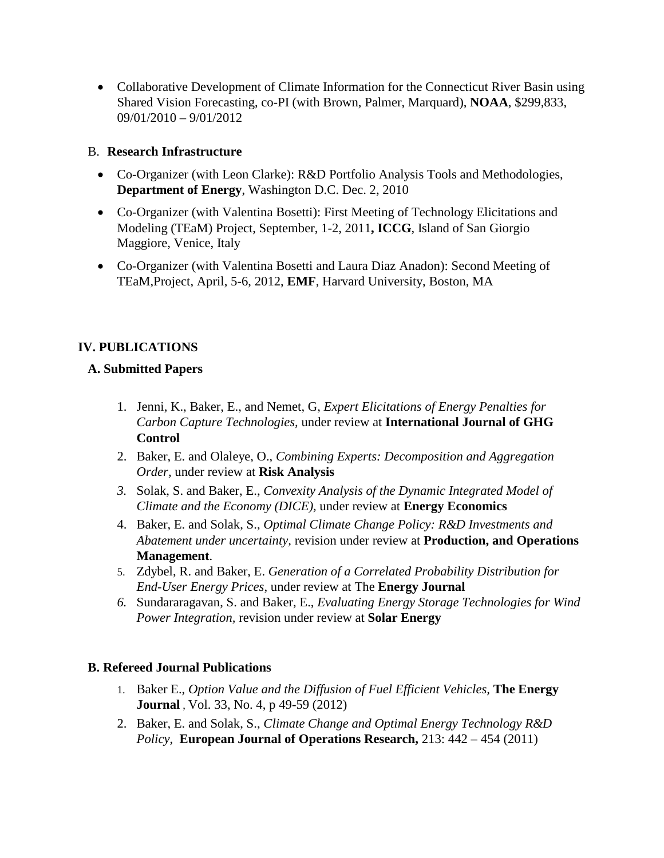• Collaborative Development of Climate Information for the Connecticut River Basin using Shared Vision Forecasting, co-PI (with Brown, Palmer, Marquard), **NOAA**, \$299,833, 09/01/2010 – 9/01/2012

## B. **Research Infrastructure**

- Co-Organizer (with Leon Clarke): R&D Portfolio Analysis Tools and Methodologies, **Department of Energy**, Washington D.C. Dec. 2, 2010
- Co-Organizer (with Valentina Bosetti): First Meeting of Technology Elicitations and Modeling (TEaM) Project, September, 1-2, 2011**, ICCG**, Island of San Giorgio Maggiore, Venice, Italy
- Co-Organizer (with Valentina Bosetti and Laura Diaz Anadon): Second Meeting of TEaM,Project, April, 5-6, 2012, **EMF**, Harvard University, Boston, MA

# **IV. PUBLICATIONS**

## **A. Submitted Papers**

- 1. Jenni, K., Baker, E., and Nemet, G, *Expert Elicitations of Energy Penalties for Carbon Capture Technologies,* under review at **International Journal of GHG Control**
- 2. Baker, E. and Olaleye, O., *Combining Experts: Decomposition and Aggregation Order,* under review at **Risk Analysis**
- *3.* Solak, S. and Baker, E., *Convexity Analysis of the Dynamic Integrated Model of Climate and the Economy (DICE),* under review at **Energy Economics**
- 4. Baker, E. and Solak, S., *Optimal Climate Change Policy: R&D Investments and Abatement under uncertainty,* revision under review at **Production, and Operations Management**.
- 5. Zdybel, R. and Baker, E. *Generation of a Correlated Probability Distribution for End-User Energy Prices*, under review at The **Energy Journal**
- *6.* Sundararagavan, S. and Baker, E., *Evaluating Energy Storage Technologies for Wind Power Integration,* revision under review at **Solar Energy**

## **B. Refereed Journal Publications**

- 1. Baker E., *Option Value and the Diffusion of Fuel Efficient Vehicles,* **The Energy Journal** , Vol. 33, No. 4, p 49-59 (2012)
- 2. Baker, E. and Solak, S., *Climate Change and Optimal Energy Technology R&D Policy*, **European Journal of Operations Research,** 213: 442 – 454 (2011)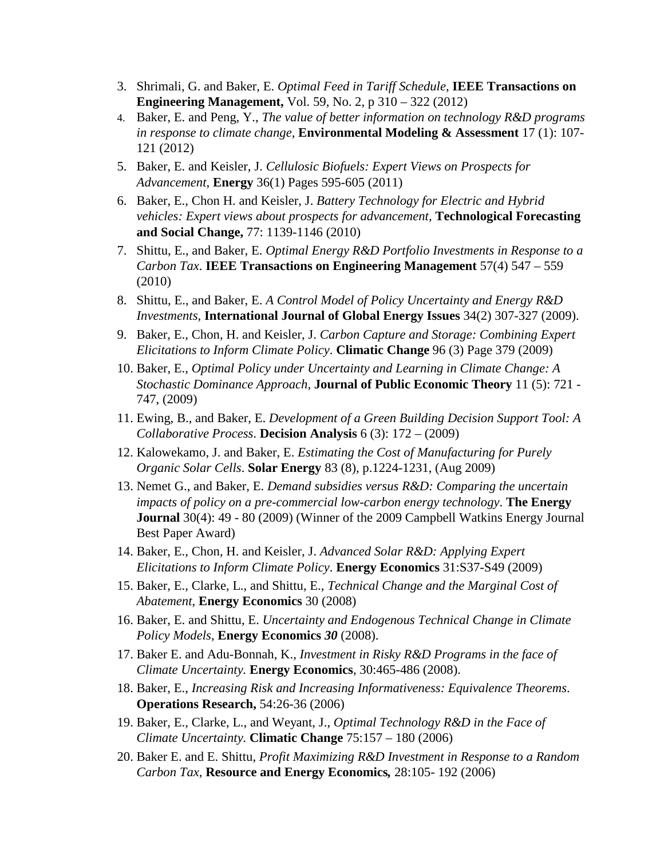- 3. Shrimali, G. and Baker, E. *Optimal Feed in Tariff Schedule*, **IEEE Transactions on Engineering Management,** Vol. 59, No. 2, p 310 – 322 (2012)
- 4. Baker, E. and Peng, Y., *The value of better information on technology R&D programs in response to climate change*, **Environmental Modeling & Assessment** 17 (1): 107- 121 (2012)
- 5. Baker, E. and Keisler, J. *Cellulosic Biofuels: Expert Views on Prospects for Advancement*, **Energy** 36(1) Pages 595-605 (2011)
- 6. Baker, E., Chon H. and Keisler, J. *Battery Technology for Electric and Hybrid vehicles: Expert views about prospects for advancement,* **Technological Forecasting and Social Change,** 77: 1139-1146 (2010)
- 7. Shittu, E., and Baker, E. *Optimal Energy R&D Portfolio Investments in Response to a Carbon Tax*. **IEEE Transactions on Engineering Management** 57(4) 547 – 559 (2010)
- 8. Shittu, E., and Baker, E. *A Control Model of Policy Uncertainty and Energy R&D Investments,* **International Journal of Global Energy Issues** 34(2) 307-327 (2009).
- 9. Baker, E., Chon, H. and Keisler, J. *Carbon Capture and Storage: Combining Expert Elicitations to Inform Climate Policy*. **Climatic Change** 96 (3) Page 379 (2009)
- 10. Baker, E., *Optimal Policy under Uncertainty and Learning in Climate Change: A Stochastic Dominance Approach*, **Journal of Public Economic Theory** 11 (5): 721 - 747, (2009)
- 11. Ewing, B., and Baker, E. *Development of a Green Building Decision Support Tool: A Collaborative Process*. **Decision Analysis** 6 (3): 172 – (2009)
- 12. Kalowekamo, J. and Baker, E. *Estimating the Cost of Manufacturing for Purely Organic Solar Cells*. **Solar Energy** 83 (8), p.1224-1231, (Aug 2009)
- 13. Nemet G., and Baker, E. *Demand subsidies versus R&D: Comparing the uncertain impacts of policy on a pre-commercial low-carbon energy technology*. **The Energy Journal** 30(4): 49 - 80 (2009) (Winner of the 2009 Campbell Watkins Energy Journal Best Paper Award)
- 14. Baker, E., Chon, H. and Keisler, J. *Advanced Solar R&D: Applying Expert Elicitations to Inform Climate Policy*. **Energy Economics** 31:S37-S49 (2009)
- 15. Baker, E., Clarke, L., and Shittu, E., *Technical Change and the Marginal Cost of Abatement*, **Energy Economics** 30 (2008)
- 16. Baker, E. and Shittu, E. *Uncertainty and Endogenous Technical Change in Climate Policy Models*, **Energy Economics** *30* (2008).
- 17. Baker E. and Adu-Bonnah, K., *Investment in Risky R&D Programs in the face of Climate Uncertainty.* **Energy Economics**, 30:465-486 (2008).
- 18. Baker, E., *Increasing Risk and Increasing Informativeness: Equivalence Theorems*. **Operations Research,** 54:26-36 (2006)
- 19. Baker, E., Clarke, L., and Weyant, J., *Optimal Technology R&D in the Face of Climate Uncertainty.* **Climatic Change** 75:157 – 180 (2006)
- 20. Baker E. and E. Shittu, *Profit Maximizing R&D Investment in Response to a Random Carbon Tax,* **Resource and Energy Economics***,* 28:105- 192 (2006)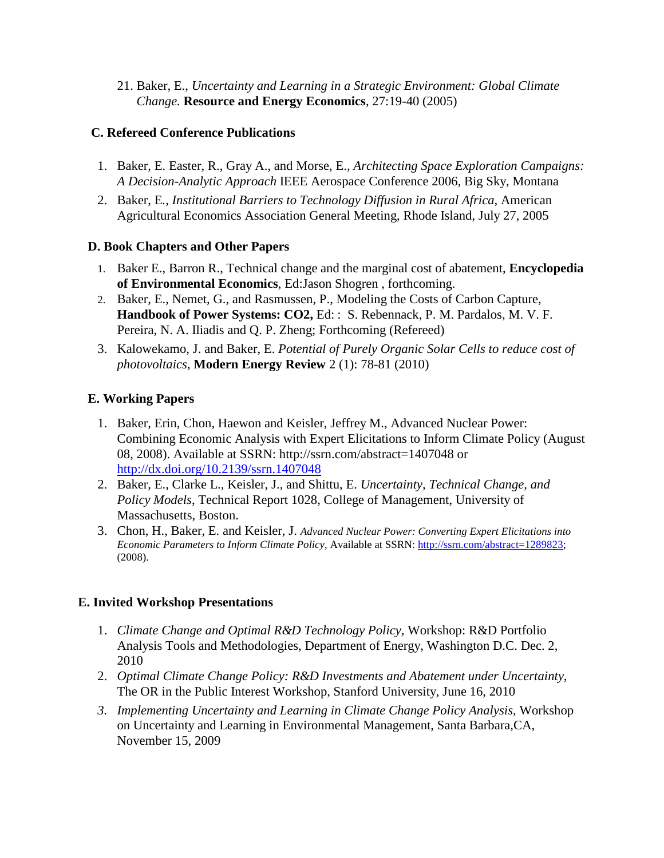21. Baker, E., *Uncertainty and Learning in a Strategic Environment: Global Climate Change.* **Resource and Energy Economics**, 27:19-40 (2005)

## **C. Refereed Conference Publications**

- 1. Baker, E. Easter, R., Gray A., and Morse, E., *Architecting Space Exploration Campaigns: A Decision-Analytic Approach* IEEE Aerospace Conference 2006, Big Sky, Montana
- 2. Baker, E*., Institutional Barriers to Technology Diffusion in Rural Africa,* American Agricultural Economics Association General Meeting, Rhode Island, July 27, 2005

## **D. Book Chapters and Other Papers**

- 1. Baker E., Barron R., Technical change and the marginal cost of abatement, **Encyclopedia of Environmental Economics**, Ed:Jason Shogren , forthcoming.
- 2. Baker, E., Nemet, G., and Rasmussen, P., Modeling the Costs of Carbon Capture, **Handbook of Power Systems: CO2,** Ed: : S. Rebennack, P. M. Pardalos, M. V. F. Pereira, N. A. Iliadis and Q. P. Zheng; Forthcoming (Refereed)
- 3. Kalowekamo, J. and Baker, E. *Potential of Purely Organic Solar Cells to reduce cost of photovoltaics*, **Modern Energy Review** 2 (1): 78-81 (2010)

# **E. Working Papers**

- 1. Baker, Erin, Chon, Haewon and Keisler, Jeffrey M., Advanced Nuclear Power: Combining Economic Analysis with Expert Elicitations to Inform Climate Policy (August 08, 2008). Available at SSRN: http://ssrn.com/abstract=1407048 or <http://dx.doi.org/10.2139/ssrn.1407048>
- 2. Baker, E., Clarke L., Keisler, J., and Shittu, E. *Uncertainty, Technical Change, and Policy Models*, Technical Report 1028, College of Management, University of Massachusetts, Boston.
- 3. Chon, H., Baker, E. and Keisler, J. *Advanced Nuclear Power: Converting Expert Elicitations into*  Economic Parameters to Inform Climate Policy, Available at SSRN: [http://ssrn.com/abstract=1289823;](http://ssrn.com/abstract=1289823) (2008).

# **E. Invited Workshop Presentations**

- 1. *Climate Change and Optimal R&D Technology Policy,* Workshop: R&D Portfolio Analysis Tools and Methodologies, Department of Energy, Washington D.C. Dec. 2, 2010
- 2. *Optimal Climate Change Policy: R&D Investments and Abatement under Uncertainty*, The OR in the Public Interest Workshop, Stanford University, June 16, 2010
- *3. Implementing Uncertainty and Learning in Climate Change Policy Analysis,* Workshop on Uncertainty and Learning in Environmental Management, Santa Barbara,CA, November 15, 2009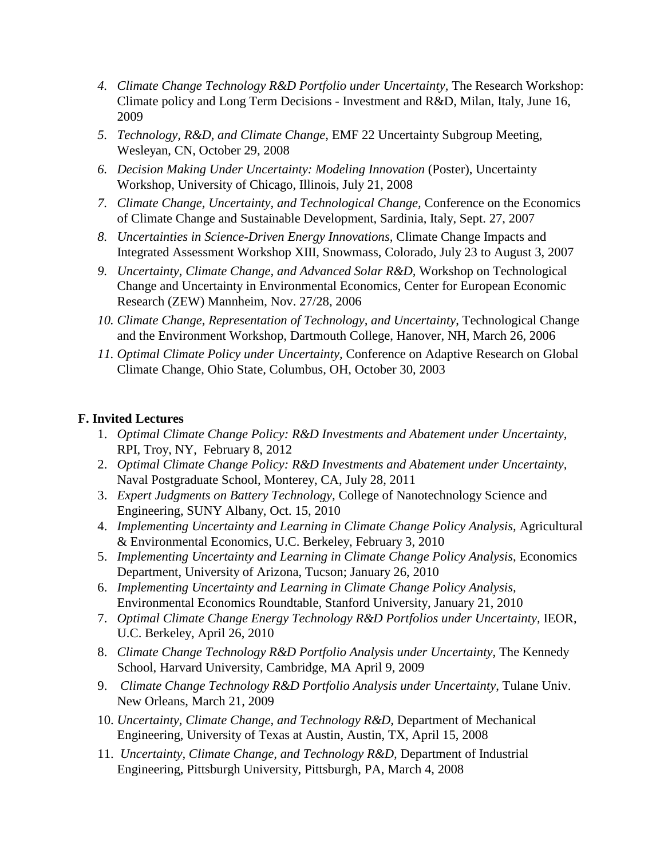- 4. *Climate Change Technology R&D Portfolio under Uncertainty*, The Research Workshop: Climate policy and Long Term Decisions - Investment and R&D, Milan, Italy, June 16, 2009
- *5. Technology, R&D, and Climate Change*, EMF 22 Uncertainty Subgroup Meeting, Wesleyan, CN, October 29, 2008
- *6. Decision Making Under Uncertainty: Modeling Innovation* (Poster), Uncertainty Workshop, University of Chicago, Illinois, July 21, 2008
- *7. Climate Change, Uncertainty, and Technological Change,* Conference on the Economics of Climate Change and Sustainable Development, Sardinia, Italy, Sept. 27, 2007
- *8. Uncertainties in Science-Driven Energy Innovations,* Climate Change Impacts and Integrated Assessment Workshop XIII, Snowmass, Colorado, July 23 to August 3, 2007
- *9. Uncertainty, Climate Change, and Advanced Solar R&D,* Workshop on Technological Change and Uncertainty in Environmental Economics, Center for European Economic Research (ZEW) Mannheim, Nov. 27/28, 2006
- *10. Climate Change, Representation of Technology, and Uncertainty*, Technological Change and the Environment Workshop, Dartmouth College, Hanover, NH, March 26, 2006
- *11. Optimal Climate Policy under Uncertainty,* Conference on Adaptive Research on Global Climate Change, Ohio State, Columbus, OH, October 30, 2003

#### **F. Invited Lectures**

- 1. *Optimal Climate Change Policy: R&D Investments and Abatement under Uncertainty,*  RPI, Troy, NY, February 8, 2012
- 2. *Optimal Climate Change Policy: R&D Investments and Abatement under Uncertainty,*  Naval Postgraduate School, Monterey, CA, July 28, 2011
- 3. *Expert Judgments on Battery Technology,* College of Nanotechnology Science and Engineering, SUNY Albany, Oct. 15, 2010
- 4. *Implementing Uncertainty and Learning in Climate Change Policy Analysis, Agricultural* & Environmental Economics, U.C. Berkeley, February 3, 2010
- 5. *Implementing Uncertainty and Learning in Climate Change Policy Analysis*, Economics Department, University of Arizona, Tucson; January 26, 2010
- 6. *Implementing Uncertainty and Learning in Climate Change Policy Analysis,* Environmental Economics Roundtable, Stanford University, January 21, 2010
- 7. *Optimal Climate Change Energy Technology R&D Portfolios under Uncertainty,* IEOR, U.C. Berkeley, April 26, 2010
- 8. *Climate Change Technology R&D Portfolio Analysis under Uncertainty*, The Kennedy School, Harvard University, Cambridge, MA April 9, 2009
- 9. *Climate Change Technology R&D Portfolio Analysis under Uncertainty*, Tulane Univ. New Orleans, March 21, 2009
- 10. *Uncertainty, Climate Change, and Technology R&D,* Department of Mechanical Engineering, University of Texas at Austin, Austin, TX, April 15, 2008
- 11. *Uncertainty, Climate Change, and Technology R&D,* Department of Industrial Engineering, Pittsburgh University, Pittsburgh, PA, March 4, 2008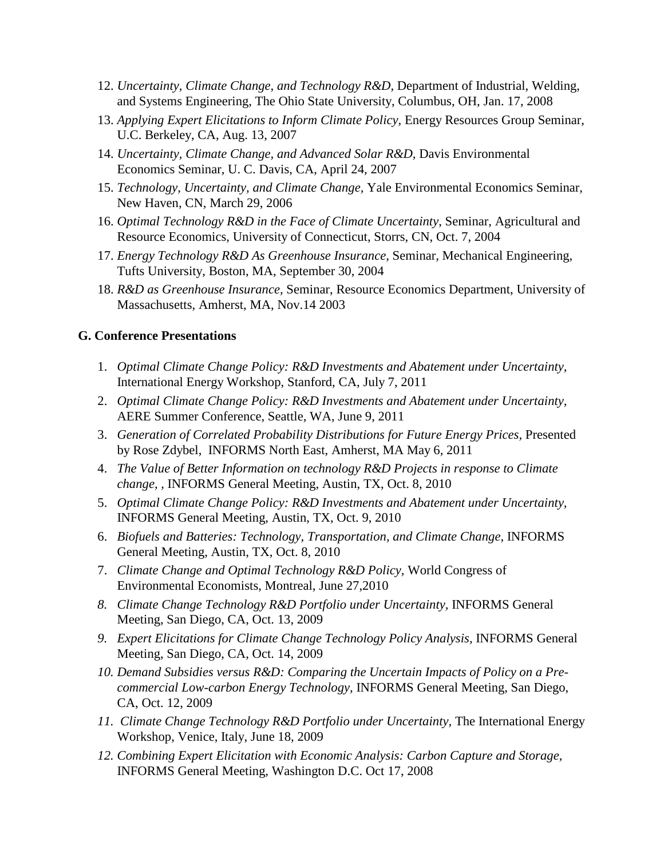- 12. *Uncertainty, Climate Change, and Technology R&D,* Department of Industrial, Welding, and Systems Engineering, The Ohio State University, Columbus, OH, Jan. 17, 2008
- 13. *Applying Expert Elicitations to Inform Climate Policy,* Energy Resources Group Seminar, U.C. Berkeley, CA, Aug. 13, 2007
- 14. *Uncertainty, Climate Change, and Advanced Solar R&D*, Davis Environmental Economics Seminar, U. C. Davis, CA, April 24, 2007
- 15. *Technology, Uncertainty, and Climate Change,* Yale Environmental Economics Seminar, New Haven, CN, March 29, 2006
- 16. *Optimal Technology R&D in the Face of Climate Uncertainty*, Seminar, Agricultural and Resource Economics, University of Connecticut, Storrs, CN, Oct. 7, 2004
- 17. *Energy Technology R&D As Greenhouse Insurance*, Seminar, Mechanical Engineering, Tufts University, Boston, MA, September 30, 2004
- 18. *R&D as Greenhouse Insurance,* Seminar, Resource Economics Department, University of Massachusetts, Amherst, MA, Nov.14 2003

#### **G. Conference Presentations**

- 1. *Optimal Climate Change Policy: R&D Investments and Abatement under Uncertainty,* International Energy Workshop, Stanford, CA, July 7, 2011
- 2. *Optimal Climate Change Policy: R&D Investments and Abatement under Uncertainty,*  AERE Summer Conference, Seattle, WA, June 9, 2011
- 3. *Generation of Correlated Probability Distributions for Future Energy Prices, Presented* by Rose Zdybel, INFORMS North East, Amherst, MA May 6, 2011
- 4. *The Value of Better Information on technology R&D Projects in response to Climate change, ,* INFORMS General Meeting, Austin, TX, Oct. 8, 2010
- 5. *Optimal Climate Change Policy: R&D Investments and Abatement under Uncertainty,*  INFORMS General Meeting, Austin, TX, Oct. 9, 2010
- 6. *Biofuels and Batteries: Technology, Transportation, and Climate Change,* INFORMS General Meeting, Austin, TX, Oct. 8, 2010
- 7. *Climate Change and Optimal Technology R&D Policy,* World Congress of Environmental Economists, Montreal, June 27,2010
- *8. Climate Change Technology R&D Portfolio under Uncertainty,* INFORMS General Meeting, San Diego, CA, Oct. 13, 2009
- *9. Expert Elicitations for Climate Change Technology Policy Analysis,* INFORMS General Meeting, San Diego, CA, Oct. 14, 2009
- *10. Demand Subsidies versus R&D: Comparing the Uncertain Impacts of Policy on a Precommercial Low-carbon Energy Technology,* INFORMS General Meeting, San Diego, CA, Oct. 12, 2009
- *11. Climate Change Technology R&D Portfolio under Uncertainty,* The International Energy Workshop, Venice, Italy, June 18, 2009
- *12. Combining Expert Elicitation with Economic Analysis: Carbon Capture and Storage,* INFORMS General Meeting, Washington D.C. Oct 17, 2008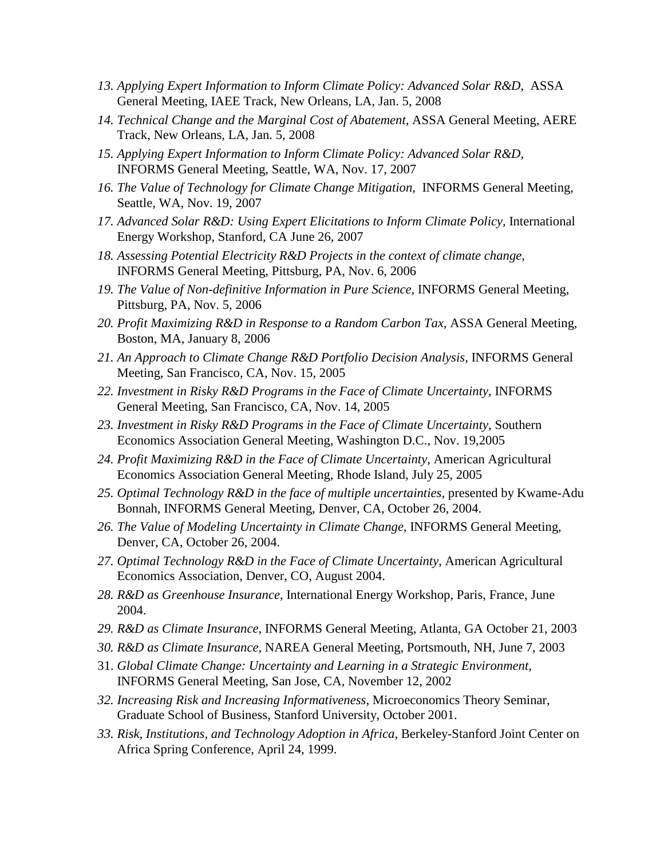- *13. Applying Expert Information to Inform Climate Policy: Advanced Solar R&D*, ASSA General Meeting, IAEE Track, New Orleans, LA, Jan. 5, 2008
- *14. Technical Change and the Marginal Cost of Abatement,* ASSA General Meeting, AERE Track, New Orleans, LA, Jan. 5, 2008
- *15. Applying Expert Information to Inform Climate Policy: Advanced Solar R&D*, INFORMS General Meeting, Seattle, WA, Nov. 17, 2007
- *16. The Value of Technology for Climate Change Mitigation*, INFORMS General Meeting, Seattle, WA, Nov. 19, 2007
- *17. Advanced Solar R&D: Using Expert Elicitations to Inform Climate Policy,* International Energy Workshop, Stanford, CA June 26, 2007
- *18. Assessing Potential Electricity R&D Projects in the context of climate change*, INFORMS General Meeting, Pittsburg, PA, Nov. 6, 2006
- *19. The Value of Non-definitive Information in Pure Science,* INFORMS General Meeting, Pittsburg, PA, Nov. 5, 2006
- *20. Profit Maximizing R&D in Response to a Random Carbon Tax*, ASSA General Meeting, Boston, MA, January 8, 2006
- *21. An Approach to Climate Change R&D Portfolio Decision Analysis,* INFORMS General Meeting, San Francisco, CA, Nov. 15, 2005
- *22. Investment in Risky R&D Programs in the Face of Climate Uncertainty,* INFORMS General Meeting, San Francisco, CA, Nov. 14, 2005
- *23. Investment in Risky R&D Programs in the Face of Climate Uncertainty,* Southern Economics Association General Meeting, Washington D.C., Nov. 19,2005
- 24. *Profit Maximizing R&D in the Face of Climate Uncertainty, American Agricultural* Economics Association General Meeting, Rhode Island, July 25, 2005
- 25. Optimal Technology R&D in the face of multiple uncertainties, presented by Kwame-Adu Bonnah, INFORMS General Meeting, Denver, CA, October 26, 2004.
- *26. The Value of Modeling Uncertainty in Climate Change*, INFORMS General Meeting, Denver, CA, October 26, 2004.
- *27. Optimal Technology R&D in the Face of Climate Uncertainty*, American Agricultural Economics Association, Denver, CO, August 2004.
- *28. R&D as Greenhouse Insurance*, International Energy Workshop, Paris, France, June 2004.
- *29. R&D as Climate Insurance,* INFORMS General Meeting, Atlanta, GA October 21, 2003
- *30. R&D as Climate Insurance,* NAREA General Meeting, Portsmouth, NH, June 7, 2003
- 31. *Global Climate Change: Uncertainty and Learning in a Strategic Environment,* INFORMS General Meeting, San Jose, CA, November 12, 2002
- *32. Increasing Risk and Increasing Informativeness*, Microeconomics Theory Seminar, Graduate School of Business, Stanford University, October 2001.
- *33. Risk, Institutions, and Technology Adoption in Africa,* Berkeley-Stanford Joint Center on Africa Spring Conference, April 24, 1999.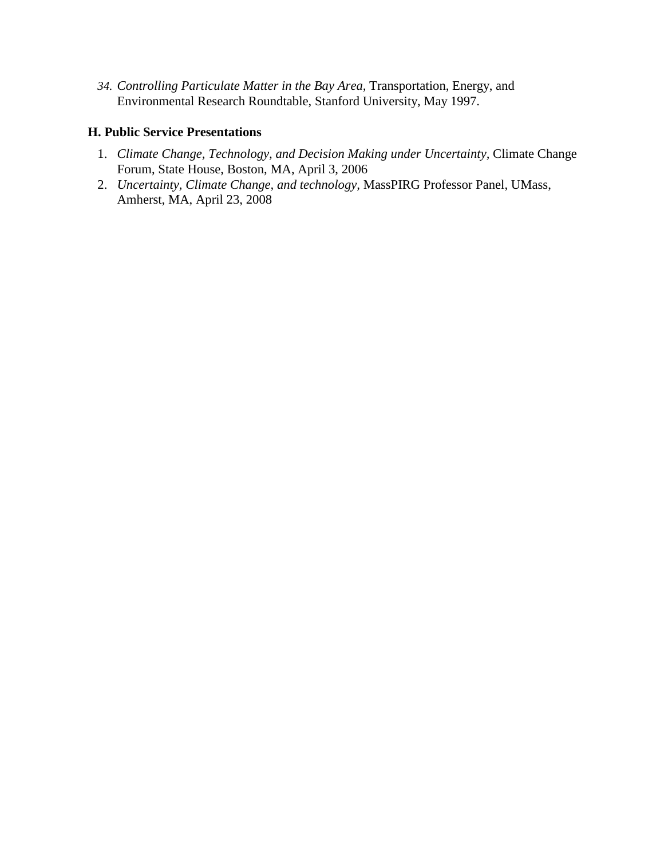*34. Controlling Particulate Matter in the Bay Area,* Transportation, Energy, and Environmental Research Roundtable, Stanford University, May 1997.

## **H. Public Service Presentations**

- 1. *Climate Change, Technology, and Decision Making under Uncertainty,* Climate Change Forum, State House, Boston, MA, April 3, 2006
- 2. *Uncertainty, Climate Change, and technology,* MassPIRG Professor Panel, UMass, Amherst, MA, April 23, 2008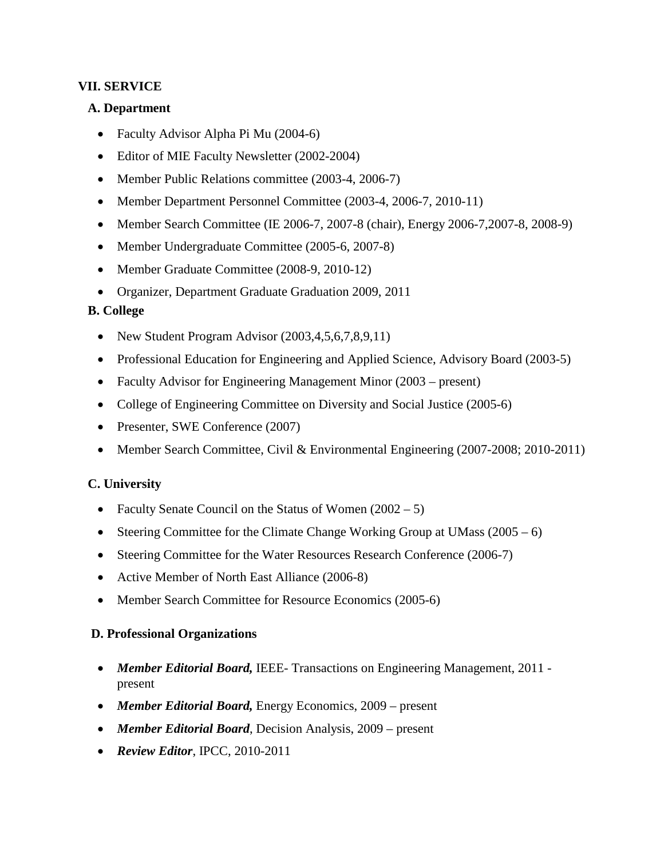## **VII. SERVICE**

#### **A. Department**

- Faculty Advisor Alpha Pi Mu (2004-6)
- Editor of MIE Faculty Newsletter (2002-2004)
- Member Public Relations committee (2003-4, 2006-7)
- Member Department Personnel Committee (2003-4, 2006-7, 2010-11)
- Member Search Committee (IE 2006-7, 2007-8 (chair), Energy 2006-7, 2007-8, 2008-9)
- Member Undergraduate Committee (2005-6, 2007-8)
- Member Graduate Committee (2008-9, 2010-12)
- Organizer, Department Graduate Graduation 2009, 2011

## **B. College**

- New Student Program Advisor (2003,4,5,6,7,8,9,11)
- Professional Education for Engineering and Applied Science, Advisory Board (2003-5)
- Faculty Advisor for Engineering Management Minor (2003 present)
- College of Engineering Committee on Diversity and Social Justice (2005-6)
- Presenter, SWE Conference (2007)
- Member Search Committee, Civil & Environmental Engineering (2007-2008; 2010-2011)

## **C. University**

- Faculty Senate Council on the Status of Women  $(2002 5)$
- Steering Committee for the Climate Change Working Group at UMass  $(2005 6)$
- Steering Committee for the Water Resources Research Conference (2006-7)
- Active Member of North East Alliance (2006-8)
- Member Search Committee for Resource Economics (2005-6)

## **D. Professional Organizations**

- *Member Editorial Board,* IEEE- Transactions on Engineering Management, 2011 present
- *Member Editorial Board,* Energy Economics, 2009 present
- *Member Editorial Board*, Decision Analysis, 2009 present
- *Review Editor*, IPCC, 2010-2011